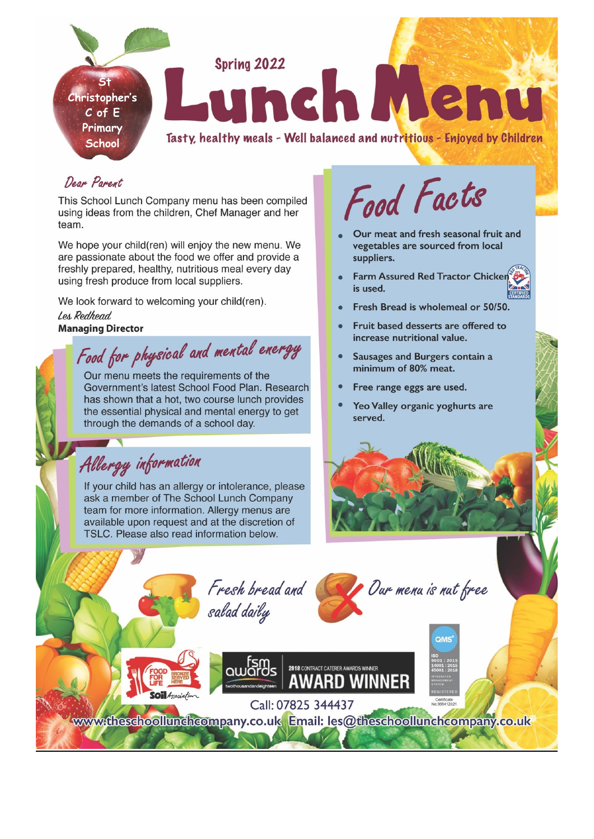

## Doom Poment.

This School Lunch Company menu has been compiled using ideas from the children, Chef Manager and her team.

We hope your child(ren) will enjoy the new menu. We are passionate about the food we offer and provide a freshly prepared, healthy, nutritious meal every day using fresh produce from local suppliers.

We look forward to welcoming your child(ren). Les Redhead **Managing Director** 

Food for physical and mental energy

Our menu meets the requirements of the Government's latest School Food Plan. Research has shown that a hot, two course lunch provides the essential physical and mental energy to get through the demands of a school day.

Allergy information

If your child has an allergy or intolerance, please ask a member of The School Lunch Company team for more information. Allergy menus are available upon request and at the discretion of TSLC. Please also read information below.

Food Facts

- Our meat and fresh seasonal fruit and vegetables are sourced from local suppliers.
- Farm Assured Red Tractor Chicken is used.
- Fresh Bread is wholemeal or 50/50.
- Fruit based desserts are offered to increase nutritional value.
- Sausages and Burgers contain a minimum of 80% meat.
- Free range eggs are used.
- Yeo Valley organic yoghurts are served.



· Our menu is nut free

Fresh bread and salad daily



www.theschoollunchcompany.co.uk Email: les@theschoollunchcompany.co.uk